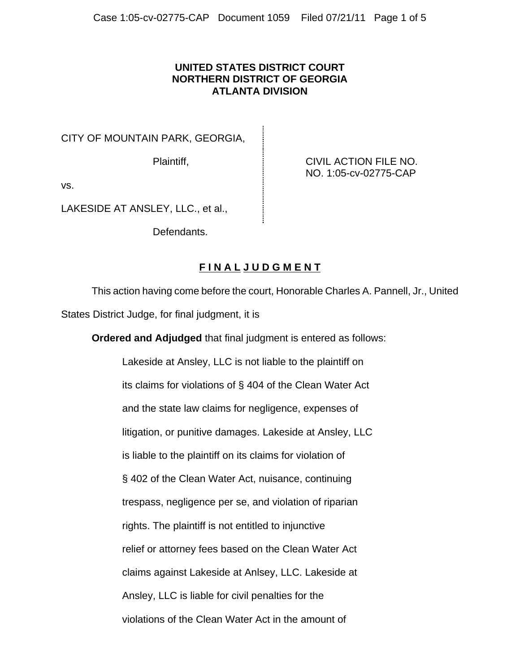## **UNITED STATES DISTRICT COURT NORTHERN DISTRICT OF GEORGIA ATLANTA DIVISION**

CITY OF MOUNTAIN PARK, GEORGIA,

Plaintiff, **Plaintiff, CIVIL ACTION FILE NO.** NO. 1:05-cv-02775-CAP

vs.

LAKESIDE AT ANSLEY, LLC., et al.,

Defendants.

## **F I N A L J U D G M E N T**

This action having come before the court, Honorable Charles A. Pannell, Jr., United States District Judge, for final judgment, it is

**Ordered and Adjudged** that final judgment is entered as follows:

Lakeside at Ansley, LLC is not liable to the plaintiff on its claims for violations of § 404 of the Clean Water Act and the state law claims for negligence, expenses of litigation, or punitive damages. Lakeside at Ansley, LLC is liable to the plaintiff on its claims for violation of § 402 of the Clean Water Act, nuisance, continuing trespass, negligence per se, and violation of riparian rights. The plaintiff is not entitled to injunctive relief or attorney fees based on the Clean Water Act claims against Lakeside at Anlsey, LLC. Lakeside at Ansley, LLC is liable for civil penalties for the violations of the Clean Water Act in the amount of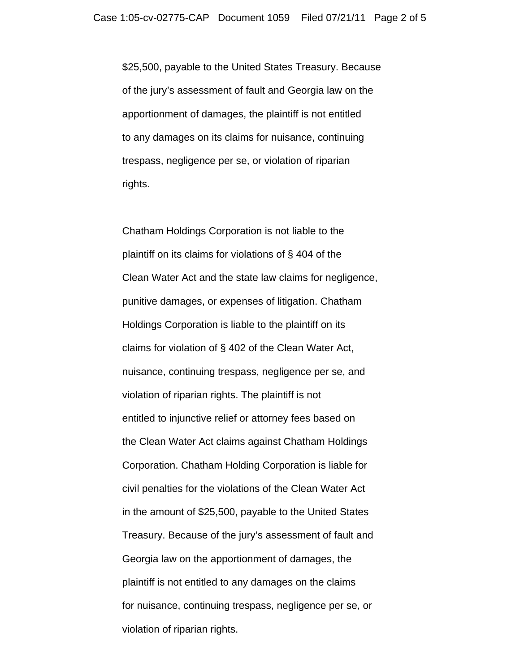\$25,500, payable to the United States Treasury. Because of the jury's assessment of fault and Georgia law on the apportionment of damages, the plaintiff is not entitled to any damages on its claims for nuisance, continuing trespass, negligence per se, or violation of riparian rights.

Chatham Holdings Corporation is not liable to the plaintiff on its claims for violations of § 404 of the Clean Water Act and the state law claims for negligence, punitive damages, or expenses of litigation. Chatham Holdings Corporation is liable to the plaintiff on its claims for violation of § 402 of the Clean Water Act, nuisance, continuing trespass, negligence per se, and violation of riparian rights. The plaintiff is not entitled to injunctive relief or attorney fees based on the Clean Water Act claims against Chatham Holdings Corporation. Chatham Holding Corporation is liable for civil penalties for the violations of the Clean Water Act in the amount of \$25,500, payable to the United States Treasury. Because of the jury's assessment of fault and Georgia law on the apportionment of damages, the plaintiff is not entitled to any damages on the claims for nuisance, continuing trespass, negligence per se, or violation of riparian rights.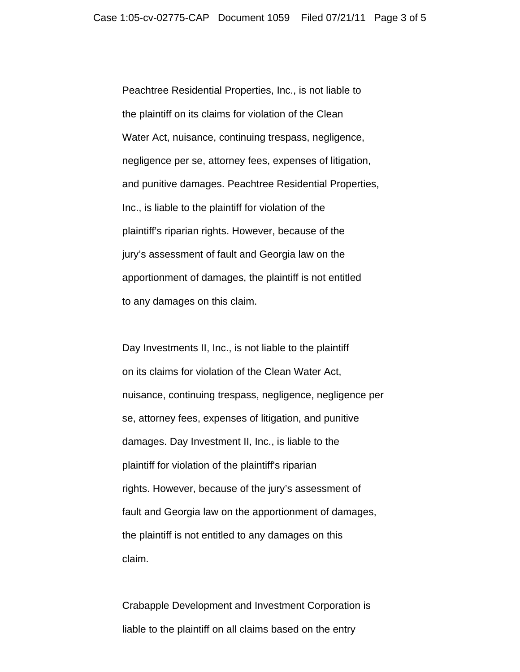Peachtree Residential Properties, Inc., is not liable to the plaintiff on its claims for violation of the Clean Water Act, nuisance, continuing trespass, negligence, negligence per se, attorney fees, expenses of litigation, and punitive damages. Peachtree Residential Properties, Inc., is liable to the plaintiff for violation of the plaintiff's riparian rights. However, because of the jury's assessment of fault and Georgia law on the apportionment of damages, the plaintiff is not entitled to any damages on this claim.

Day Investments II, Inc., is not liable to the plaintiff on its claims for violation of the Clean Water Act, nuisance, continuing trespass, negligence, negligence per se, attorney fees, expenses of litigation, and punitive damages. Day Investment II, Inc., is liable to the plaintiff for violation of the plaintiff's riparian rights. However, because of the jury's assessment of fault and Georgia law on the apportionment of damages, the plaintiff is not entitled to any damages on this claim.

Crabapple Development and Investment Corporation is liable to the plaintiff on all claims based on the entry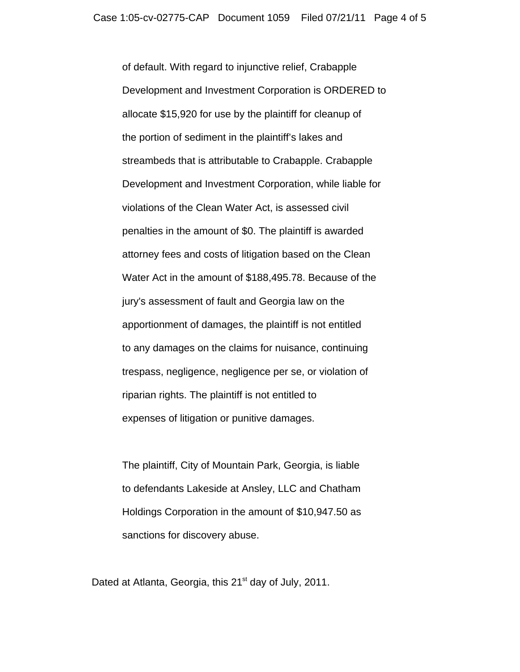of default. With regard to injunctive relief, Crabapple Development and Investment Corporation is ORDERED to allocate \$15,920 for use by the plaintiff for cleanup of the portion of sediment in the plaintiff's lakes and streambeds that is attributable to Crabapple. Crabapple Development and Investment Corporation, while liable for violations of the Clean Water Act, is assessed civil penalties in the amount of \$0. The plaintiff is awarded attorney fees and costs of litigation based on the Clean Water Act in the amount of \$188,495.78. Because of the jury's assessment of fault and Georgia law on the apportionment of damages, the plaintiff is not entitled to any damages on the claims for nuisance, continuing trespass, negligence, negligence per se, or violation of riparian rights. The plaintiff is not entitled to expenses of litigation or punitive damages.

The plaintiff, City of Mountain Park, Georgia, is liable to defendants Lakeside at Ansley, LLC and Chatham Holdings Corporation in the amount of \$10,947.50 as sanctions for discovery abuse.

Dated at Atlanta, Georgia, this  $21<sup>st</sup>$  day of July, 2011.